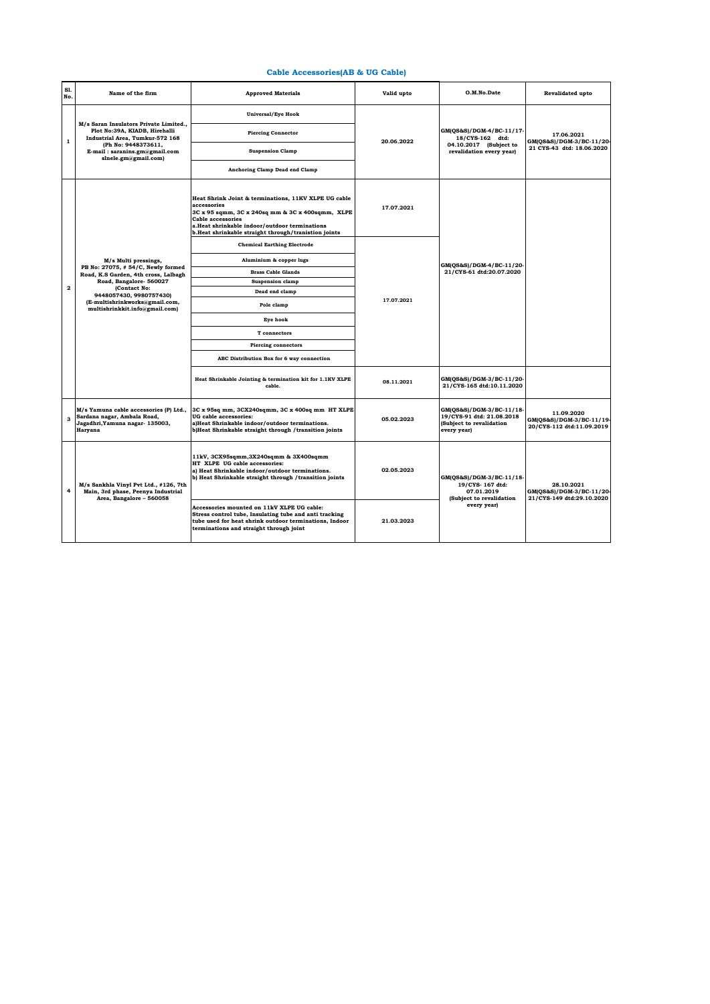## **Cable Accessories(AB & UG Cable)**

| S1.<br>No.   | Name of the firm                                                                                                                                                                                                                            | <b>Approved Materials</b>                                                                                                                                                                                                                                    | Valid upto | O.M.No.Date                                                                                          | <b>Revalidated upto</b>                                            |
|--------------|---------------------------------------------------------------------------------------------------------------------------------------------------------------------------------------------------------------------------------------------|--------------------------------------------------------------------------------------------------------------------------------------------------------------------------------------------------------------------------------------------------------------|------------|------------------------------------------------------------------------------------------------------|--------------------------------------------------------------------|
| 1            | M/s Saran Insulators Private Limited.,<br>Plot No:39A, KIADB, Hirehalli<br>Industrial Area, Tumkur-572 168<br>(Ph No: 9448373611,<br>E-mail: saranins.gm@gmail.com<br>slnele.gm@gmail.com)                                                  | <b>Universal/Eye Hook</b>                                                                                                                                                                                                                                    | 20.06.2022 | GM(QS&S)/DGM-4/BC-11/17-<br>18/CYS-162 dtd:<br>04.10.2017 (Subject to<br>revalidation every year)    | 17.06.2021<br>GM(QS&S)/DGM-3/BC-11/20<br>21 CYS-43 dtd: 18.06.2020 |
|              |                                                                                                                                                                                                                                             | <b>Piercing Connector</b>                                                                                                                                                                                                                                    |            |                                                                                                      |                                                                    |
|              |                                                                                                                                                                                                                                             | <b>Suspension Clamp</b>                                                                                                                                                                                                                                      |            |                                                                                                      |                                                                    |
|              |                                                                                                                                                                                                                                             | Anchoring Clamp Dead end Clamp                                                                                                                                                                                                                               |            |                                                                                                      |                                                                    |
|              | M/s Multi pressings,<br>PB No: 27075, #54/C, Newly formed<br>Road, K.S Garden, 4th cross, Lalbagh<br>Road, Bangalore- 560027<br>(Contact No:<br>9448057430, 9980757430)<br>(E-multishrinkworks@gmail.com,<br>multishrinkkit.info@gmail.com) | Heat Shrink Joint & terminations, 11KV XLPE UG cable<br>accessories<br>3C x 95 sqmm, 3C x 240sq mm & 3C x 400sqmm, XLPE<br><b>Cable accessories</b><br>a.Heat shrinkable indoor/outdoor terminations<br>b.Heat shrinkable straight through/tranistion joints | 17.07.2021 | GM(QS&S)/DGM-4/BC-11/20-<br>21/CYS-61 dtd:20.07.2020                                                 |                                                                    |
|              |                                                                                                                                                                                                                                             | <b>Chemical Earthing Electrode</b>                                                                                                                                                                                                                           | 17.07.2021 |                                                                                                      |                                                                    |
|              |                                                                                                                                                                                                                                             | Aluminium & copper lugs                                                                                                                                                                                                                                      |            |                                                                                                      |                                                                    |
|              |                                                                                                                                                                                                                                             | <b>Brass Cable Glands</b>                                                                                                                                                                                                                                    |            |                                                                                                      |                                                                    |
|              |                                                                                                                                                                                                                                             | <b>Suspension clamp</b>                                                                                                                                                                                                                                      |            |                                                                                                      |                                                                    |
| $\mathbf{2}$ |                                                                                                                                                                                                                                             | Dead end clamp                                                                                                                                                                                                                                               |            |                                                                                                      |                                                                    |
|              |                                                                                                                                                                                                                                             | Pole clamp                                                                                                                                                                                                                                                   |            |                                                                                                      |                                                                    |
|              |                                                                                                                                                                                                                                             | Eye hook                                                                                                                                                                                                                                                     |            |                                                                                                      |                                                                    |
|              |                                                                                                                                                                                                                                             | T connectors                                                                                                                                                                                                                                                 |            |                                                                                                      |                                                                    |
|              |                                                                                                                                                                                                                                             | <b>Piercing connectors</b>                                                                                                                                                                                                                                   |            |                                                                                                      |                                                                    |
|              |                                                                                                                                                                                                                                             | ABC Distribution Box for 6 way connection                                                                                                                                                                                                                    |            |                                                                                                      |                                                                    |
|              |                                                                                                                                                                                                                                             | Heat Shrinkable Jointing & termination kit for 1.1KV XLPE<br>cable.                                                                                                                                                                                          | 08.11.2021 | GM(QS&S)/DGM-3/BC-11/20-<br>21/CYS-165 dtd:10.11.2020                                                |                                                                    |
| з            | M/s Yamuna cable accessories (P) Ltd.,<br>Sardana nagar, Ambala Road,<br>Jagadhri, Yamuna nagar- 135003,<br>Haryana                                                                                                                         | 3C x 95sq mm, 3CX240sqmm, 3C x 400sq mm HT XLPE<br>UG cable accessories:<br>a)Heat Shrinkable indoor/outdoor terminations.<br>b)Heat Shrinkable straight through /transition joints                                                                          | 05.02.2023 | GM(QS&S)/DGM-3/BC-11/18-<br>19/CYS-91 dtd: 21.08.2018<br>(Subject to revalidation<br>every year)     | 11.09.2020<br>GM(QS&S)/DGM-3/BC-11/19<br>20/CYS-112 dtd:11.09.2019 |
| 4            | M/s Sankhla Vinyl Pvt Ltd., #126, 7th<br>Main, 3rd phase, Peenya Industrial<br>Area, Bangalore - 560058                                                                                                                                     | 11kV, 3CX95sqmm, 3X240sqmm & 3X400sqmm<br>HT XLPE UG cable accessories:<br>a) Heat Shrinkable indoor/outdoor terminations.<br>b) Heat Shrinkable straight through /transition joints                                                                         | 02.05.2023 | GM(QS&S)/DGM-3/BC-11/18-<br>19/CYS-167 dtd:<br>07.01.2019<br>(Subject to revalidation<br>every year) | 28.10.2021<br>GM(QS&S)/DGM-3/BC-11/20<br>21/CYS-149 dtd:29.10.2020 |
|              |                                                                                                                                                                                                                                             | Accessories mounted on 11kV XLPE UG cable:<br>Stress control tube, Insulating tube and anti tracking<br>tube used for heat shrink outdoor terminations, Indoor<br>terminations and straight through joint                                                    | 21.03.2023 |                                                                                                      |                                                                    |